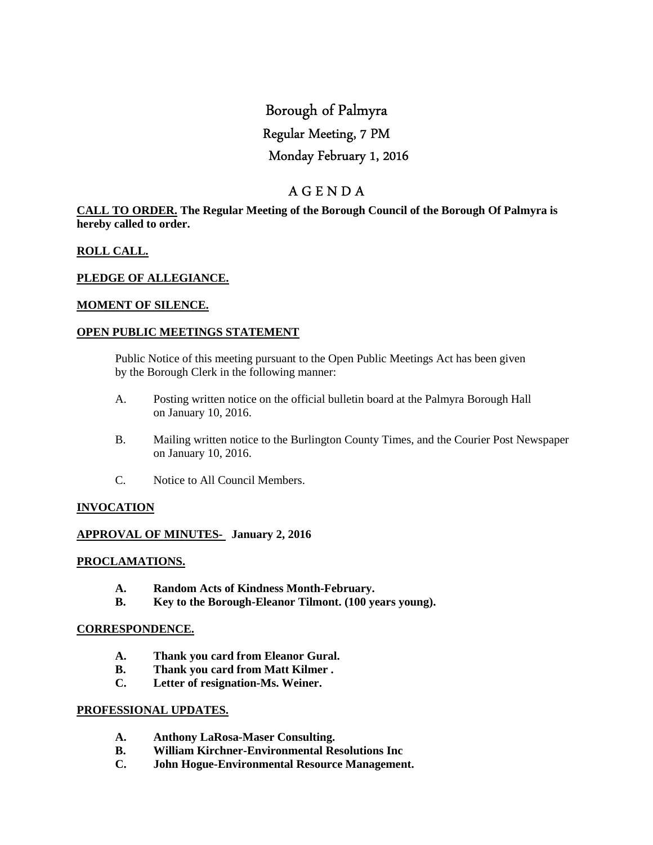# Borough of Palmyra Regular Meeting, 7 PM Monday February 1, 2016

# A G E N D A

#### **CALL TO ORDER. The Regular Meeting of the Borough Council of the Borough Of Palmyra is hereby called to order.**

### **ROLL CALL.**

#### **PLEDGE OF ALLEGIANCE.**

#### **MOMENT OF SILENCE.**

#### **OPEN PUBLIC MEETINGS STATEMENT**

 Public Notice of this meeting pursuant to the Open Public Meetings Act has been given by the Borough Clerk in the following manner:

- A. Posting written notice on the official bulletin board at the Palmyra Borough Hall on January 10, 2016.
- B. Mailing written notice to the Burlington County Times, and the Courier Post Newspaper on January 10, 2016.
- C. Notice to All Council Members.

#### **INVOCATION**

#### **APPROVAL OF MINUTES- January 2, 2016**

#### **PROCLAMATIONS.**

- **A. Random Acts of Kindness Month-February.**
- **B. Key to the Borough-Eleanor Tilmont. (100 years young).**

#### **CORRESPONDENCE.**

- **A. Thank you card from Eleanor Gural.**
- **B. Thank you card from Matt Kilmer .**
- **C. Letter of resignation-Ms. Weiner.**

#### **PROFESSIONAL UPDATES.**

- **A. Anthony LaRosa-Maser Consulting.**
- **B. William Kirchner-Environmental Resolutions Inc**
- **C. John Hogue-Environmental Resource Management.**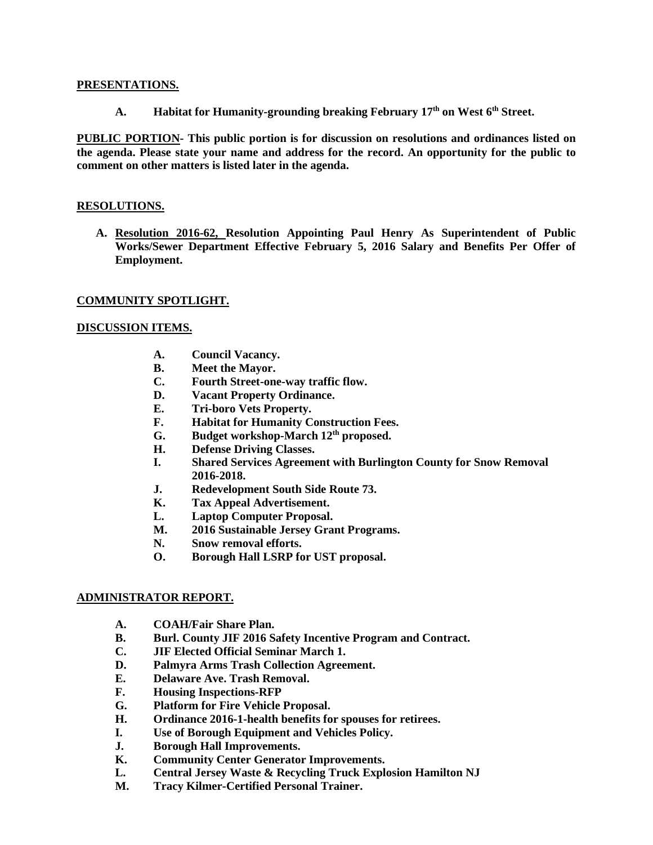#### **PRESENTATIONS.**

**A. Habitat for Humanity-grounding breaking February 17th on West 6th Street.** 

**PUBLIC PORTION- This public portion is for discussion on resolutions and ordinances listed on the agenda. Please state your name and address for the record. An opportunity for the public to comment on other matters is listed later in the agenda.** 

#### **RESOLUTIONS.**

**A. Resolution 2016-62, Resolution Appointing Paul Henry As Superintendent of Public Works/Sewer Department Effective February 5, 2016 Salary and Benefits Per Offer of Employment.** 

#### **COMMUNITY SPOTLIGHT.**

#### **DISCUSSION ITEMS.**

- **A. Council Vacancy.**
- **B. Meet the Mayor.**
- **C. Fourth Street-one-way traffic flow.**
- **D. Vacant Property Ordinance.**
- **E. Tri-boro Vets Property.**
- **F. Habitat for Humanity Construction Fees.**
- **G. Budget workshop-March 12th proposed.**
- **H. Defense Driving Classes.**
- **I. Shared Services Agreement with Burlington County for Snow Removal 2016-2018.**
- **J. Redevelopment South Side Route 73.**
- **K. Tax Appeal Advertisement.**
- **L. Laptop Computer Proposal.**
- **M. 2016 Sustainable Jersey Grant Programs.**
- **N. Snow removal efforts.**
- **O. Borough Hall LSRP for UST proposal.**

#### **ADMINISTRATOR REPORT.**

- **A. COAH/Fair Share Plan.**
- **B. Burl. County JIF 2016 Safety Incentive Program and Contract.**
- **C. JIF Elected Official Seminar March 1.**
- **D. Palmyra Arms Trash Collection Agreement.**
- **E. Delaware Ave. Trash Removal.**
- **F. Housing Inspections-RFP**
- **G. Platform for Fire Vehicle Proposal.**
- **H. Ordinance 2016-1-health benefits for spouses for retirees.**
- **I. Use of Borough Equipment and Vehicles Policy.**
- **J. Borough Hall Improvements.**
- **K. Community Center Generator Improvements.**
- **L. Central Jersey Waste & Recycling Truck Explosion Hamilton NJ**
- **M. Tracy Kilmer-Certified Personal Trainer.**